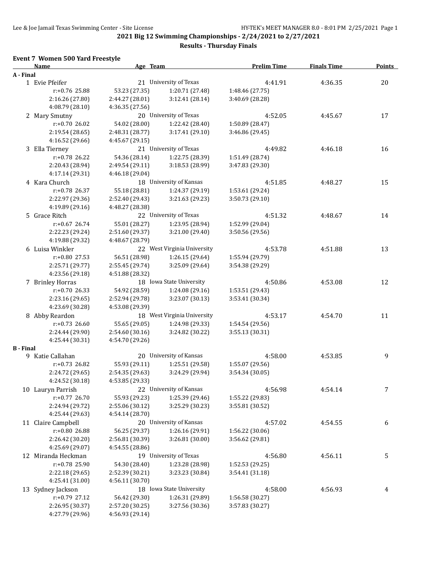#### **Results - Thursday Finals**

#### **Event 7 Women 500 Yard Freestyle**

|                  | <b>Name</b>        | Age Team                           |                             | <b>Prelim Time</b> | <b>Finals Time</b> | <b>Points</b> |
|------------------|--------------------|------------------------------------|-----------------------------|--------------------|--------------------|---------------|
| A - Final        |                    |                                    |                             |                    |                    |               |
|                  | 1 Evie Pfeifer     |                                    | 21 University of Texas      | 4:41.91            | 4:36.35            | 20            |
|                  | r:+0.76 25.88      | 53.23 (27.35)                      | 1:20.71 (27.48)             | 1:48.46 (27.75)    |                    |               |
|                  | 2:16.26 (27.80)    | 2:44.27 (28.01)                    | 3:12.41 (28.14)             | 3:40.69 (28.28)    |                    |               |
|                  | 4:08.79 (28.10)    | 4:36.35 (27.56)                    |                             |                    |                    |               |
|                  | 2 Mary Smutny      |                                    | 20 University of Texas      | 4:52.05            | 4:45.67            | 17            |
|                  | $r: +0.7026.02$    | 54.02 (28.00)                      | 1:22.42 (28.40)             | 1:50.89 (28.47)    |                    |               |
|                  | 2:19.54 (28.65)    | 2:48.31 (28.77)                    | 3:17.41 (29.10)             | 3:46.86 (29.45)    |                    |               |
|                  | 4:16.52 (29.66)    | 4:45.67 (29.15)                    |                             |                    |                    |               |
|                  | 3 Ella Tierney     |                                    | 21 University of Texas      | 4:49.82            | 4:46.18            | 16            |
|                  | $r: +0.78$ 26.22   | 54.36 (28.14)                      | 1:22.75 (28.39)             | 1:51.49 (28.74)    |                    |               |
|                  | 2:20.43 (28.94)    | 2:49.54 (29.11)                    | 3:18.53 (28.99)             | 3:47.83 (29.30)    |                    |               |
|                  | 4:17.14 (29.31)    | 4:46.18 (29.04)                    |                             |                    |                    |               |
|                  | 4 Kara Church      |                                    | 18 University of Kansas     | 4:51.85            | 4:48.27            | 15            |
|                  | r:+0.78 26.37      | 55.18 (28.81)                      | 1:24.37 (29.19)             | 1:53.61 (29.24)    |                    |               |
|                  | 2:22.97 (29.36)    |                                    | 3:21.63 (29.23)             | 3:50.73 (29.10)    |                    |               |
|                  | 4:19.89 (29.16)    | 2:52.40 (29.43)<br>4:48.27 (28.38) |                             |                    |                    |               |
|                  |                    |                                    | 22 University of Texas      |                    |                    |               |
|                  | 5 Grace Ritch      |                                    |                             | 4:51.32            | 4:48.67            | 14            |
|                  | r:+0.67 26.74      | 55.01 (28.27)                      | 1:23.95 (28.94)             | 1:52.99 (29.04)    |                    |               |
|                  | 2:22.23 (29.24)    | 2:51.60 (29.37)                    | 3:21.00 (29.40)             | 3:50.56 (29.56)    |                    |               |
|                  | 4:19.88 (29.32)    | 4:48.67 (28.79)                    |                             |                    |                    |               |
|                  | 6 Luisa Winkler    |                                    | 22 West Virginia University | 4:53.78            | 4:51.88            | 13            |
|                  | $r: +0.80$ 27.53   | 56.51 (28.98)                      | 1:26.15 (29.64)             | 1:55.94 (29.79)    |                    |               |
|                  | 2:25.71 (29.77)    | 2:55.45 (29.74)                    | 3:25.09 (29.64)             | 3:54.38 (29.29)    |                    |               |
|                  | 4:23.56 (29.18)    | 4:51.88 (28.32)                    |                             |                    |                    |               |
|                  | 7 Brinley Horras   |                                    | 18 Iowa State University    | 4:50.86            | 4:53.08            | 12            |
|                  | $r: +0.70$ 26.33   | 54.92 (28.59)                      | 1:24.08 (29.16)             | 1:53.51 (29.43)    |                    |               |
|                  | 2:23.16 (29.65)    | 2:52.94 (29.78)                    | 3:23.07 (30.13)             | 3:53.41 (30.34)    |                    |               |
|                  | 4:23.69 (30.28)    | 4:53.08 (29.39)                    |                             |                    |                    |               |
|                  | 8 Abby Reardon     |                                    | 18 West Virginia University | 4:53.17            | 4:54.70            | 11            |
|                  | $r: +0.73$ 26.60   | 55.65 (29.05)                      | 1:24.98 (29.33)             | 1:54.54 (29.56)    |                    |               |
|                  | 2:24.44 (29.90)    | 2:54.60 (30.16)                    | 3:24.82 (30.22)             | 3:55.13 (30.31)    |                    |               |
|                  | 4:25.44 (30.31)    | 4:54.70 (29.26)                    |                             |                    |                    |               |
| <b>B</b> - Final |                    |                                    |                             |                    |                    |               |
|                  | 9 Katie Callahan   |                                    | 20 University of Kansas     | 4:58.00            | 4:53.85            | 9             |
|                  | $r: +0.73$ 26.82   | 55.93 (29.11)                      | 1:25.51 (29.58)             | 1:55.07 (29.56)    |                    |               |
|                  | 2:24.72 (29.65)    | 2:54.35 (29.63)                    | 3:24.29 (29.94)             | 3:54.34 (30.05)    |                    |               |
|                  | 4:24.52 (30.18)    | 4:53.85 (29.33)                    |                             |                    |                    |               |
|                  | 10 Lauryn Parrish  |                                    | 22 University of Kansas     | 4:56.98            | 4:54.14            | 7             |
|                  | r:+0.77 26.70      | 55.93 (29.23)                      | 1:25.39 (29.46)             | 1:55.22 (29.83)    |                    |               |
|                  | 2:24.94 (29.72)    | 2:55.06 (30.12)                    | 3:25.29 (30.23)             | 3:55.81 (30.52)    |                    |               |
|                  | 4:25.44 (29.63)    | 4:54.14 (28.70)                    |                             |                    |                    |               |
|                  | 11 Claire Campbell |                                    | 20 University of Kansas     | 4:57.02            | 4:54.55            | 6             |
|                  | r:+0.80 26.88      | 56.25 (29.37)                      | 1:26.16 (29.91)             | 1:56.22 (30.06)    |                    |               |
|                  | 2:26.42 (30.20)    | 2:56.81 (30.39)                    | 3:26.81 (30.00)             | 3:56.62 (29.81)    |                    |               |
|                  | 4:25.69 (29.07)    | 4:54.55 (28.86)                    |                             |                    |                    |               |
|                  | 12 Miranda Heckman |                                    | 19 University of Texas      | 4:56.80            | 4:56.11            | 5             |
|                  | r:+0.78 25.90      | 54.30 (28.40)                      | 1:23.28 (28.98)             | 1:52.53 (29.25)    |                    |               |
|                  | 2:22.18 (29.65)    | 2:52.39 (30.21)                    | 3:23.23 (30.84)             | 3:54.41 (31.18)    |                    |               |
|                  | 4:25.41 (31.00)    | 4:56.11 (30.70)                    |                             |                    |                    |               |
|                  | 13 Sydney Jackson  |                                    | 18 Iowa State University    | 4:58.00            | 4:56.93            | 4             |
|                  | r:+0.79 27.12      | 56.42 (29.30)                      | 1:26.31 (29.89)             | 1:56.58 (30.27)    |                    |               |
|                  | 2:26.95 (30.37)    | 2:57.20 (30.25)                    | 3:27.56 (30.36)             | 3:57.83 (30.27)    |                    |               |
|                  | 4:27.79 (29.96)    | 4:56.93 (29.14)                    |                             |                    |                    |               |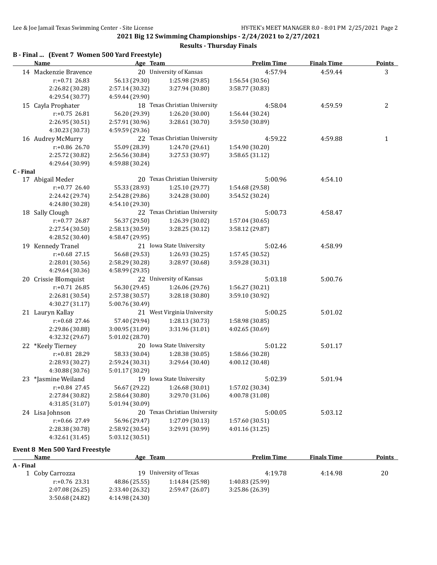|           | B - Final  (Event 7 Women 500 Yard Freestyle) |                 |                               |                    |                    |               |
|-----------|-----------------------------------------------|-----------------|-------------------------------|--------------------|--------------------|---------------|
|           | Name                                          | Age Team        |                               | <b>Prelim Time</b> | <b>Finals Time</b> | <b>Points</b> |
|           | 14 Mackenzie Bravence                         |                 | 20 University of Kansas       | 4:57.94            | 4:59.44            | 3             |
|           | r:+0.71 26.83                                 | 56.13 (29.30)   | 1:25.98 (29.85)               | 1:56.54 (30.56)    |                    |               |
|           | 2:26.82 (30.28)                               | 2:57.14 (30.32) | 3:27.94 (30.80)               | 3:58.77 (30.83)    |                    |               |
|           | 4:29.54 (30.77)                               | 4:59.44 (29.90) |                               |                    |                    |               |
|           | 15 Cayla Prophater                            |                 | 18 Texas Christian University | 4:58.04            | 4:59.59            | 2             |
|           | $r: +0.75$ 26.81                              | 56.20 (29.39)   | 1:26.20 (30.00)               | 1:56.44 (30.24)    |                    |               |
|           | 2:26.95 (30.51)                               | 2:57.91 (30.96) | 3:28.61 (30.70)               | 3:59.50 (30.89)    |                    |               |
|           | 4:30.23 (30.73)                               | 4:59.59 (29.36) |                               |                    |                    |               |
|           | 16 Audrey McMurry                             |                 | 22 Texas Christian University | 4:59.22            | 4:59.88            | $\mathbf{1}$  |
|           | r:+0.86 26.70                                 | 55.09 (28.39)   | 1:24.70 (29.61)               | 1:54.90 (30.20)    |                    |               |
|           | 2:25.72 (30.82)                               | 2:56.56 (30.84) | 3:27.53 (30.97)               | 3:58.65 (31.12)    |                    |               |
|           | 4:29.64 (30.99)                               | 4:59.88 (30.24) |                               |                    |                    |               |
| C - Final |                                               |                 |                               |                    |                    |               |
|           | 17 Abigail Meder                              |                 | 20 Texas Christian University | 5:00.96            | 4:54.10            |               |
|           | $r: +0.77$ 26.40                              | 55.33 (28.93)   | 1:25.10 (29.77)               | 1:54.68 (29.58)    |                    |               |
|           | 2:24.42 (29.74)                               | 2:54.28 (29.86) | 3:24.28 (30.00)               | 3:54.52 (30.24)    |                    |               |
|           | 4:24.80 (30.28)                               | 4:54.10 (29.30) |                               |                    |                    |               |
|           | 18 Sally Clough                               |                 | 22 Texas Christian University | 5:00.73            | 4:58.47            |               |
|           | r:+0.77 26.87                                 | 56.37 (29.50)   | 1:26.39 (30.02)               | 1:57.04 (30.65)    |                    |               |
|           | 2:27.54 (30.50)                               | 2:58.13 (30.59) | 3:28.25 (30.12)               | 3:58.12 (29.87)    |                    |               |
|           | 4:28.52 (30.40)                               | 4:58.47 (29.95) |                               |                    |                    |               |
|           | 19 Kennedy Tranel                             |                 | 21 Iowa State University      | 5:02.46            | 4:58.99            |               |
|           | $r: +0.68$ 27.15                              | 56.68 (29.53)   | 1:26.93 (30.25)               | 1:57.45 (30.52)    |                    |               |
|           | 2:28.01 (30.56)                               | 2:58.29 (30.28) | 3:28.97 (30.68)               | 3:59.28 (30.31)    |                    |               |
|           | 4:29.64 (30.36)                               | 4:58.99 (29.35) |                               |                    |                    |               |
|           | 20 Crissie Blomquist                          |                 | 22 University of Kansas       | 5:03.18            | 5:00.76            |               |
|           | $r: +0.71$ 26.85                              | 56.30 (29.45)   | 1:26.06 (29.76)               | 1:56.27 (30.21)    |                    |               |
|           | 2:26.81 (30.54)                               | 2:57.38 (30.57) | 3:28.18 (30.80)               | 3:59.10 (30.92)    |                    |               |
|           | 4:30.27 (31.17)                               | 5:00.76 (30.49) |                               |                    |                    |               |
|           | 21 Lauryn Kallay                              |                 | 21 West Virginia University   | 5:00.25            | 5:01.02            |               |
|           |                                               |                 |                               |                    |                    |               |
|           | r:+0.68 27.46                                 | 57.40 (29.94)   | 1:28.13 (30.73)               | 1:58.98 (30.85)    |                    |               |
|           | 2:29.86 (30.88)                               | 3:00.95 (31.09) | 3:31.96 (31.01)               | 4:02.65 (30.69)    |                    |               |
|           | 4:32.32 (29.67)                               | 5:01.02 (28.70) |                               |                    |                    |               |
|           | 22 *Keely Tierney                             |                 | 20 Iowa State University      | 5:01.22            | 5:01.17            |               |
|           | $r: +0.81$ 28.29                              | 58.33 (30.04)   | 1:28.38 (30.05)               | 1:58.66 (30.28)    |                    |               |
|           | 2:28.93 (30.27)                               | 2:59.24 (30.31) | 3:29.64 (30.40)               | 4:00.12 (30.48)    |                    |               |
|           | 4:30.88 (30.76)                               | 5:01.17 (30.29) |                               |                    |                    |               |
|           | 23 *Jasmine Weiland                           |                 | 19 Iowa State University      | 5:02.39            | 5:01.94            |               |
|           | r:+0.84 27.45                                 | 56.67 (29.22)   | 1:26.68 (30.01)               | 1:57.02 (30.34)    |                    |               |
|           | 2:27.84 (30.82)                               | 2:58.64 (30.80) | 3:29.70 (31.06)               | 4:00.78 (31.08)    |                    |               |
|           | 4:31.85 (31.07)                               | 5:01.94 (30.09) |                               |                    |                    |               |
|           | 24 Lisa Johnson                               |                 | 20 Texas Christian University | 5:00.05            | 5:03.12            |               |
|           | r:+0.66 27.49                                 | 56.96 (29.47)   | 1:27.09 (30.13)               | 1:57.60 (30.51)    |                    |               |
|           | 2:28.38 (30.78)                               | 2:58.92 (30.54) | 3:29.91 (30.99)               | 4:01.16 (31.25)    |                    |               |
|           | 4:32.61 (31.45)                               | 5:03.12 (30.51) |                               |                    |                    |               |

#### **Results - Thursday Finals**

# **Event 8 Men 500 Yard Freestyle**

| <b>Name</b>        | Age Team        |                     | <b>Prelim Time</b> | <b>Finals Time</b> | <b>Points</b> |
|--------------------|-----------------|---------------------|--------------------|--------------------|---------------|
| A - Final          |                 |                     |                    |                    |               |
| l    Coby Carrozza | 19.             | University of Texas | 4:19.78            | 4:14.98            | 20            |
| $r: +0.76$ 23.31   | 48.86 (25.55)   | 1:14.84 (25.98)     | 1:40.83 (25.99)    |                    |               |
| 2:07.08(26.25)     | 2:33.40 (26.32) | 2:59.47 (26.07)     | 3:25.86 (26.39)    |                    |               |
| 3:50.68(24.82)     | 4:14.98 (24.30) |                     |                    |                    |               |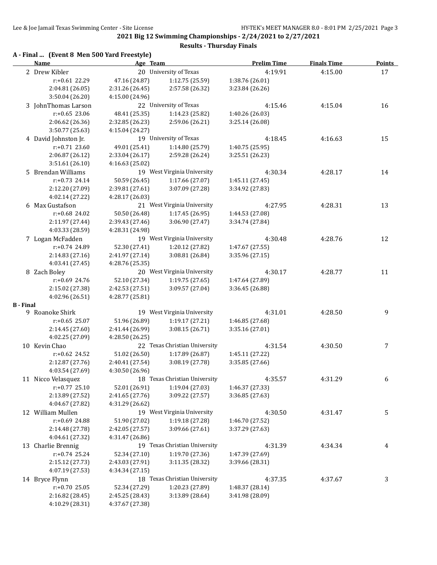**2021 Big 12 Swimming Championships - 2/24/2021 to 2/27/2021 Results - Thursday Finals**

# **A - Final ... (Event 8 Men 500 Yard Freestyle)**

|                  | <u>Name</u>          | Age Team        |                               | <b>Prelim Time</b> | <b>Finals Time</b> | <b>Points</b> |
|------------------|----------------------|-----------------|-------------------------------|--------------------|--------------------|---------------|
|                  | 2 Drew Kibler        |                 | 20 University of Texas        | 4:19.91            | 4:15.00            | 17            |
|                  | r:+0.61 22.29        | 47.16 (24.87)   | 1:12.75 (25.59)               | 1:38.76 (26.01)    |                    |               |
|                  | 2:04.81 (26.05)      | 2:31.26 (26.45) | 2:57.58 (26.32)               | 3:23.84 (26.26)    |                    |               |
|                  | 3:50.04 (26.20)      | 4:15.00 (24.96) |                               |                    |                    |               |
|                  | 3 JohnThomas Larson  |                 | 22 University of Texas        | 4:15.46            | 4:15.04            | 16            |
|                  | $r: +0.65$ 23.06     | 48.41 (25.35)   | 1:14.23 (25.82)               | 1:40.26 (26.03)    |                    |               |
|                  | 2:06.62 (26.36)      | 2:32.85 (26.23) | 2:59.06 (26.21)               | 3:25.14 (26.08)    |                    |               |
|                  | 3:50.77 (25.63)      | 4:15.04 (24.27) |                               |                    |                    |               |
|                  | 4 David Johnston Jr. |                 | 19 University of Texas        | 4:18.45            | 4:16.63            | 15            |
|                  | $r: +0.71$ 23.60     | 49.01 (25.41)   | 1:14.80 (25.79)               | 1:40.75 (25.95)    |                    |               |
|                  | 2:06.87 (26.12)      | 2:33.04 (26.17) | 2:59.28 (26.24)               | 3:25.51 (26.23)    |                    |               |
|                  | 3:51.61 (26.10)      | 4:16.63 (25.02) |                               |                    |                    |               |
|                  | 5 Brendan Williams   |                 | 19 West Virginia University   | 4:30.34            | 4:28.17            | 14            |
|                  | $r: +0.73$ 24.14     | 50.59 (26.45)   | 1:17.66 (27.07)               | 1:45.11 (27.45)    |                    |               |
|                  | 2:12.20 (27.09)      | 2:39.81 (27.61) | 3:07.09 (27.28)               | 3:34.92 (27.83)    |                    |               |
|                  | 4:02.14 (27.22)      | 4:28.17 (26.03) |                               |                    |                    |               |
|                  | 6 Max Gustafson      |                 | 21 West Virginia University   | 4:27.95            | 4:28.31            | 13            |
|                  | $r: +0.68$ 24.02     | 50.50 (26.48)   | 1:17.45(26.95)                | 1:44.53 (27.08)    |                    |               |
|                  | 2:11.97 (27.44)      | 2:39.43 (27.46) | 3:06.90 (27.47)               | 3:34.74 (27.84)    |                    |               |
|                  | 4:03.33 (28.59)      | 4:28.31 (24.98) |                               |                    |                    |               |
|                  | 7 Logan McFadden     |                 | 19 West Virginia University   | 4:30.48            | 4:28.76            | 12            |
|                  | r:+0.74 24.89        | 52.30 (27.41)   | 1:20.12 (27.82)               | 1:47.67 (27.55)    |                    |               |
|                  | 2:14.83 (27.16)      | 2:41.97 (27.14) | 3:08.81 (26.84)               | 3:35.96 (27.15)    |                    |               |
|                  | 4:03.41 (27.45)      | 4:28.76 (25.35) |                               |                    |                    |               |
|                  | 8 Zach Boley         |                 | 20 West Virginia University   | 4:30.17            | 4:28.77            | 11            |
|                  | r:+0.69 24.76        | 52.10 (27.34)   | 1:19.75(27.65)                | 1:47.64 (27.89)    |                    |               |
|                  | 2:15.02 (27.38)      | 2:42.53 (27.51) | 3:09.57 (27.04)               | 3:36.45 (26.88)    |                    |               |
|                  | 4:02.96 (26.51)      | 4:28.77 (25.81) |                               |                    |                    |               |
| <b>B</b> - Final |                      |                 |                               |                    |                    |               |
|                  | 9 Roanoke Shirk      |                 | 19 West Virginia University   | 4:31.01            | 4:28.50            | 9             |
|                  | $r: +0.65$ 25.07     | 51.96 (26.89)   | 1:19.17 (27.21)               | 1:46.85 (27.68)    |                    |               |
|                  | 2:14.45 (27.60)      | 2:41.44 (26.99) | 3:08.15 (26.71)               | 3:35.16 (27.01)    |                    |               |
|                  | 4:02.25 (27.09)      | 4:28.50 (26.25) |                               |                    |                    |               |
|                  | 10 Kevin Chao        |                 | 22 Texas Christian University | 4:31.54            | 4:30.50            | 7             |
|                  | r:+0.62 24.52        | 51.02 (26.50)   | 1:17.89 (26.87)               | 1:45.11 (27.22)    |                    |               |
|                  | 2:12.87 (27.76)      | 2:40.41 (27.54) | 3:08.19 (27.78)               | 3:35.85 (27.66)    |                    |               |
|                  | 4:03.54 (27.69)      | 4:30.50 (26.96) |                               |                    |                    |               |
|                  | 11 Nicco Velasquez   |                 | 18 Texas Christian University | 4:35.57            | 4:31.29            | 6             |
|                  | $r: +0.77$ 25.10     | 52.01 (26.91)   | 1:19.04 (27.03)               | 1:46.37 (27.33)    |                    |               |
|                  | 2:13.89 (27.52)      | 2:41.65 (27.76) | 3:09.22 (27.57)               | 3:36.85 (27.63)    |                    |               |
|                  | 4:04.67 (27.82)      | 4:31.29 (26.62) |                               |                    |                    |               |
|                  | 12 William Mullen    |                 | 19 West Virginia University   | 4:30.50            | 4:31.47            | 5             |
|                  | r:+0.69 24.88        | 51.90 (27.02)   | 1:19.18 (27.28)               | 1:46.70 (27.52)    |                    |               |
|                  | 2:14.48 (27.78)      | 2:42.05 (27.57) | 3:09.66 (27.61)               | 3:37.29 (27.63)    |                    |               |
|                  | 4:04.61 (27.32)      | 4:31.47 (26.86) |                               |                    |                    |               |
|                  | 13 Charlie Brennig   |                 | 19 Texas Christian University | 4:31.39            | 4:34.34            | 4             |
|                  | r:+0.74 25.24        | 52.34 (27.10)   | 1:19.70 (27.36)               | 1:47.39 (27.69)    |                    |               |
|                  | 2:15.12 (27.73)      | 2:43.03 (27.91) | 3:11.35 (28.32)               | 3:39.66 (28.31)    |                    |               |
|                  | 4:07.19 (27.53)      | 4:34.34 (27.15) |                               |                    |                    |               |
|                  | 14 Bryce Flynn       |                 | 18 Texas Christian University | 4:37.35            | 4:37.67            | 3             |
|                  | $r: +0.70$ 25.05     | 52.34 (27.29)   | 1:20.23 (27.89)               | 1:48.37 (28.14)    |                    |               |
|                  | 2:16.82 (28.45)      | 2:45.25 (28.43) | 3:13.89 (28.64)               | 3:41.98 (28.09)    |                    |               |
|                  | 4:10.29 (28.31)      | 4:37.67 (27.38) |                               |                    |                    |               |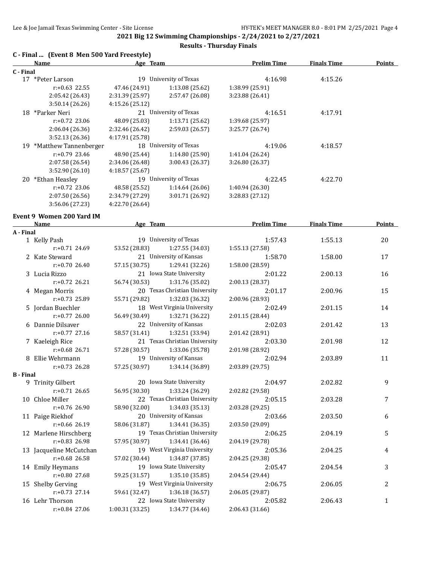## **Results - Thursday Finals**

| C - Final  (Event 8 Men 500 Yard Freestyle) |  |  |  |
|---------------------------------------------|--|--|--|
|                                             |  |  |  |

|           | Name                     | Age Team        |                        | <b>Prelim Time</b> | <b>Finals Time</b> | <b>Points</b> |
|-----------|--------------------------|-----------------|------------------------|--------------------|--------------------|---------------|
| C - Final |                          |                 |                        |                    |                    |               |
|           | 17 *Peter Larson         | 19              | University of Texas    | 4:16.98            | 4:15.26            |               |
|           | $r: +0.63$ 22.55         | 47.46 (24.91)   | 1:13.08(25.62)         | 1:38.99 (25.91)    |                    |               |
|           | 2:05.42 (26.43)          | 2:31.39 (25.97) | 2:57.47 (26.08)        | 3:23.88(26.41)     |                    |               |
|           | 3:50.14(26.26)           | 4:15.26 (25.12) |                        |                    |                    |               |
|           | 18 *Parker Neri          | 21              | University of Texas    | 4:16.51            | 4:17.91            |               |
|           | $r: +0.72$ 23.06         | 48.09 (25.03)   | 1:13.71(25.62)         | 1:39.68 (25.97)    |                    |               |
|           | 2:06.04(26.36)           | 2:32.46 (26.42) | 2:59.03 (26.57)        | 3:25.77 (26.74)    |                    |               |
|           | 3:52.13(26.36)           | 4:17.91 (25.78) |                        |                    |                    |               |
|           | 19 *Matthew Tannenberger |                 | 18 University of Texas | 4:19.06            | 4:18.57            |               |
|           | $r: +0.79$ 23.46         | 48.90 (25.44)   | 1:14.80(25.90)         | 1:41.04 (26.24)    |                    |               |
|           | 2:07.58 (26.54)          | 2:34.06 (26.48) | 3:00.43 (26.37)        | 3:26.80 (26.37)    |                    |               |
|           | 3:52.90(26.10)           | 4:18.57(25.67)  |                        |                    |                    |               |
| 20        | *Ethan Heasley           | 19              | University of Texas    | 4:22.45            | 4:22.70            |               |
|           | $r: +0.72$ 23.06         | 48.58 (25.52)   | 1:14.64(26.06)         | 1:40.94 (26.30)    |                    |               |
|           | 2:07.50 (26.56)          | 2:34.79 (27.29) | 3:01.71 (26.92)        | 3:28.83 (27.12)    |                    |               |
|           | 3:56.06 (27.23)          | 4:22.70 (26.64) |                        |                    |                    |               |

# **Event 9 Women 200 Yard IM**

|                  | <b>Name</b>             | Age Team        |                                | <b>Prelim Time</b> | <b>Finals Time</b> | <b>Points</b> |
|------------------|-------------------------|-----------------|--------------------------------|--------------------|--------------------|---------------|
| A - Final        |                         |                 |                                |                    |                    |               |
|                  | 1 Kelly Pash            |                 | 19 University of Texas         | 1:57.43            | 1:55.13            | 20            |
|                  | $r: +0.71$ 24.69        | 53.52 (28.83)   | 1:27.55(34.03)                 | 1:55.13 (27.58)    |                    |               |
|                  | 2 Kate Steward          |                 | 21 University of Kansas        | 1:58.70            | 1:58.00            | 17            |
|                  | $r: +0.70$ 26.40        | 57.15 (30.75)   | 1:29.41 (32.26)                | 1:58.00 (28.59)    |                    |               |
|                  | 3 Lucia Rizzo           |                 | 21 Iowa State University       | 2:01.22            | 2:00.13            | 16            |
|                  | $r: +0.72$ 26.21        | 56.74 (30.53)   | 1:31.76 (35.02)                | 2:00.13 (28.37)    |                    |               |
|                  | 4 Megan Morris          |                 | 20 Texas Christian University  | 2:01.17            | 2:00.96            | 15            |
|                  | $r: +0.73$ 25.89        |                 | 55.71 (29.82) 1:32.03 (36.32)  | 2:00.96 (28.93)    |                    |               |
|                  | 5 Jordan Buechler       |                 | 18 West Virginia University    | 2:02.49            | 2:01.15            | 14            |
|                  | $r: +0.77$ 26.00        |                 | 56.49 (30.49) 1:32.71 (36.22)  | 2:01.15 (28.44)    |                    |               |
|                  | 6 Dannie Dilsaver       |                 | 22 University of Kansas        | 2:02.03            | 2:01.42            | 13            |
|                  | $r: +0.77$ 27.16        | 58.57 (31.41)   | 1:32.51 (33.94)                | 2:01.42 (28.91)    |                    |               |
|                  | 7 Kaeleigh Rice         |                 | 21 Texas Christian University  | 2:03.30            | 2:01.98            | 12            |
|                  | $r: +0.68$ 26.71        | 57.28 (30.57)   | 1:33.06 (35.78)                | 2:01.98 (28.92)    |                    |               |
|                  | 8 Ellie Wehrmann        |                 | 19 University of Kansas        | 2:02.94            | 2:03.89            | 11            |
|                  | $r: +0.73$ 26.28        | 57.25 (30.97)   | 1:34.14 (36.89)                | 2:03.89 (29.75)    |                    |               |
| <b>B</b> - Final |                         |                 |                                |                    |                    |               |
|                  | 9 Trinity Gilbert       |                 | 20 Iowa State University       | 2:04.97            | 2:02.82            | 9             |
|                  | $r: +0.71$ 26.65        | 56.95 (30.30)   | 1:33.24 (36.29)                | 2:02.82 (29.58)    |                    |               |
|                  | 10 Chloe Miller         |                 | 22 Texas Christian University  | 2:05.15            | 2:03.28            | 7             |
|                  | $r: +0.76$ 26.90        | 58.90 (32.00)   | 1:34.03 (35.13)                | 2:03.28 (29.25)    |                    |               |
|                  | 11 Paige Riekhof        |                 | 20 University of Kansas        | 2:03.66            | 2:03.50            | 6             |
|                  | $r: +0.66$ 26.19        |                 | 58.06 (31.87)  1:34.41 (36.35) | 2:03.50 (29.09)    |                    |               |
|                  | 12 Marlene Hirschberg   |                 | 19 Texas Christian University  | 2:06.25            | 2:04.19            | 5             |
|                  | r:+0.83 26.98           | 57.95 (30.97)   | 1:34.41 (36.46)                | 2:04.19 (29.78)    |                    |               |
|                  | 13 Jacqueline McCutchan |                 | 19 West Virginia University    | 2:05.36            | 2:04.25            | 4             |
|                  | $r: +0.68$ 26.58        | 57.02 (30.44)   | 1:34.87 (37.85)                | 2:04.25 (29.38)    |                    |               |
|                  | 14 Emily Heymans        |                 | 19 Iowa State University       | 2:05.47            | 2:04.54            | 3             |
|                  | $r: +0.80$ 27.68        | 59.25 (31.57)   | 1:35.10(35.85)                 | 2:04.54 (29.44)    |                    |               |
|                  | 15 Shelby Gerving       |                 | 19 West Virginia University    | 2:06.75            | 2:06.05            | 2             |
|                  | $r: +0.73$ 27.14        | 59.61 (32.47)   | 1:36.18(36.57)                 | 2:06.05 (29.87)    |                    |               |
|                  | 16 Lehr Thorson         |                 | 22 Iowa State University       | 2:05.82            | 2:06.43            | $\mathbf{1}$  |
|                  | $r: +0.84$ 27.06        | 1:00.31 (33.25) | 1:34.77 (34.46)                | 2:06.43 (31.66)    |                    |               |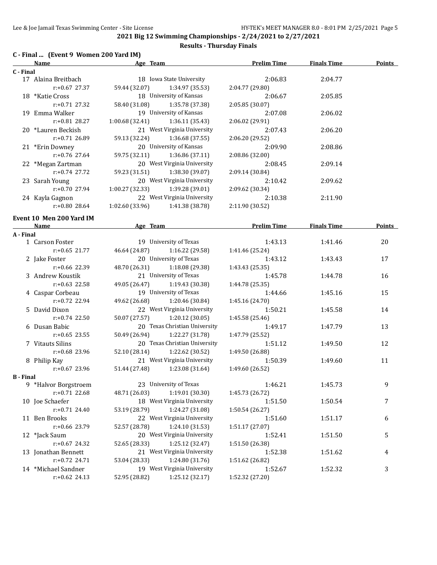## **Results - Thursday Finals**

# **C - Final ... (Event 9 Women 200 Yard IM)**

|             | C - Final  (Event 9  women zuu faru IM) |                 |                                             |                            |                    |               |
|-------------|-----------------------------------------|-----------------|---------------------------------------------|----------------------------|--------------------|---------------|
| <u>Name</u> |                                         | <u>Age Team</u> |                                             | <b>Prelim Time</b>         | <b>Finals Time</b> | <b>Points</b> |
| C - Final   |                                         |                 |                                             |                            |                    |               |
|             | 17 Alaina Breitbach<br>$r: +0.67$ 27.37 |                 | 18 Iowa State University<br>1:34.97 (35.53) | 2:06.83<br>2:04.77 (29.80) | 2:04.77            |               |
|             |                                         | 59.44 (32.07)   | 18 University of Kansas                     |                            |                    |               |
|             | 18 *Katie Cross<br>$r: +0.71$ 27.32     |                 |                                             | 2:06.67                    | 2:05.85            |               |
|             |                                         | 58.40 (31.08)   | 1:35.78 (37.38)                             | 2:05.85 (30.07)            |                    |               |
|             | 19 Emma Walker                          |                 | 19 University of Kansas                     | 2:07.08                    | 2:06.02            |               |
|             | r:+0.81 28.27                           | 1:00.68(32.41)  | 1:36.11 (35.43)                             | 2:06.02 (29.91)            |                    |               |
|             | 20 *Lauren Beckish                      |                 | 21 West Virginia University                 | 2:07.43                    | 2:06.20            |               |
|             | $r: +0.71$ 26.89                        | 59.13 (32.24)   | 1:36.68 (37.55)                             | 2:06.20 (29.52)            |                    |               |
|             | 21 *Erin Downey                         |                 | 20 University of Kansas                     | 2:09.90                    | 2:08.86            |               |
|             | $r: +0.76$ 27.64                        | 59.75 (32.11)   | 1:36.86 (37.11)                             | 2:08.86 (32.00)            |                    |               |
|             | 22 *Megan Zartman                       |                 | 20 West Virginia University                 | 2:08.45                    | 2:09.14            |               |
|             | $r: +0.74$ 27.72                        | 59.23 (31.51)   | 1:38.30 (39.07)                             | 2:09.14 (30.84)            |                    |               |
|             | 23 Sarah Young                          |                 | 20 West Virginia University                 | 2:10.42                    | 2:09.62            |               |
|             | $r: +0.70$ 27.94                        | 1:00.27 (32.33) | 1:39.28 (39.01)                             | 2:09.62 (30.34)            |                    |               |
|             | 24 Kayla Gagnon                         |                 | 22 West Virginia University                 | 2:10.38                    | 2:11.90            |               |
|             | $r: +0.80$ 28.64                        | 1:02.60 (33.96) | 1:41.38 (38.78)                             | 2:11.90 (30.52)            |                    |               |
|             | Event 10 Men 200 Yard IM                |                 |                                             |                            |                    |               |
|             | Name                                    | Age Team        |                                             | <b>Prelim Time</b>         | <b>Finals Time</b> | Points        |
| A - Final   |                                         |                 |                                             |                            |                    |               |
|             | 1 Carson Foster                         |                 | 19 University of Texas                      | 1:43.13                    | 1:41.46            | 20            |
|             | $r: +0.65$ 21.77                        | 46.64 (24.87)   | 1:16.22 (29.58)                             | 1:41.46 (25.24)            |                    |               |
|             | 2 Jake Foster                           |                 | 20 University of Texas                      | 1:43.12                    | 1:43.43            | 17            |
|             | $r: +0.66$ 22.39                        | 48.70 (26.31)   | 1:18.08 (29.38)                             | 1:43.43 (25.35)            |                    |               |
|             | 3 Andrew Koustik                        |                 | 21 University of Texas                      | 1:45.78                    | 1:44.78            | 16            |
|             | $r: +0.63$ 22.58                        | 49.05 (26.47)   | 1:19.43 (30.38)                             | 1:44.78 (25.35)            |                    |               |
|             | 4 Caspar Corbeau                        |                 | 19 University of Texas                      | 1:44.66                    | 1:45.16            | 15            |
|             | $r: +0.72$ 22.94                        | 49.62 (26.68)   | 1:20.46 (30.84)                             | 1:45.16 (24.70)            |                    |               |
|             | 5 David Dixon                           |                 | 22 West Virginia University                 | 1:50.21                    | 1:45.58            | 14            |
|             | $r: +0.74$ 22.50                        |                 | 1:20.12(30.05)                              |                            |                    |               |
|             |                                         | 50.07 (27.57)   | 20 Texas Christian University               | 1:45.58 (25.46)            |                    |               |
|             | 6 Dusan Babic<br>$r: +0.65$ 23.55       |                 |                                             | 1:49.17                    | 1:47.79            | 13            |
|             |                                         | 50.49 (26.94)   | 1:22.27 (31.78)                             | 1:47.79 (25.52)            |                    |               |
|             | 7 Vitauts Silins                        |                 | 20 Texas Christian University               | 1:51.12                    | 1:49.50            | 12            |
|             | $r: +0.68$ 23.96                        | 52.10 (28.14)   | 1:22.62 (30.52)                             | 1:49.50 (26.88)            |                    |               |
|             | 8 Philip Kay                            |                 | 21 West Virginia University                 | 1:50.39                    | 1:49.60            | 11            |
|             | $r: +0.67$ 23.96                        | 51.44 (27.48)   | 1:23.08 (31.64)                             | 1:49.60 (26.52)            |                    |               |
| B - Final   |                                         |                 |                                             |                            |                    |               |
|             | 9 *Halvor Borgstroem                    |                 | 23 University of Texas                      | 1:46.21                    | 1:45.73            | 9             |
|             | r:+0.71 22.68                           | 48.71 (26.03)   | 1:19.01 (30.30)                             | 1:45.73 (26.72)            |                    |               |
|             | 10 Joe Schaefer                         |                 | 18 West Virginia University                 | 1:51.50                    | 1:50.54            | 7             |
|             | $r: +0.71$ 24.40                        | 53.19 (28.79)   | 1:24.27 (31.08)                             | 1:50.54 (26.27)            |                    |               |
|             | 11 Ben Brooks                           |                 | 22 West Virginia University                 | 1:51.60                    | 1:51.17            | 6             |
|             | r:+0.66 23.79                           | 52.57 (28.78)   | 1:24.10 (31.53)                             | 1:51.17 (27.07)            |                    |               |
|             | 12 *Jack Saum                           |                 | 20 West Virginia University                 | 1:52.41                    | 1:51.50            | 5             |
|             | r:+0.67 24.32                           | 52.65 (28.33)   | 1:25.12 (32.47)                             | 1:51.50 (26.38)            |                    |               |
|             | 13 Jonathan Bennett                     |                 | 21 West Virginia University                 | 1:52.38                    | 1:51.62            | 4             |
|             | $r: +0.72$ 24.71                        | 53.04 (28.33)   | 1:24.80 (31.76)                             | 1:51.62 (26.82)            |                    |               |
|             | 14 *Michael Sandner                     |                 | 19 West Virginia University                 | 1:52.67                    | 1:52.32            | 3             |

r:+0.62 24.13 52.95 (28.82) 1:25.12 (32.17) 1:52.32 (27.20)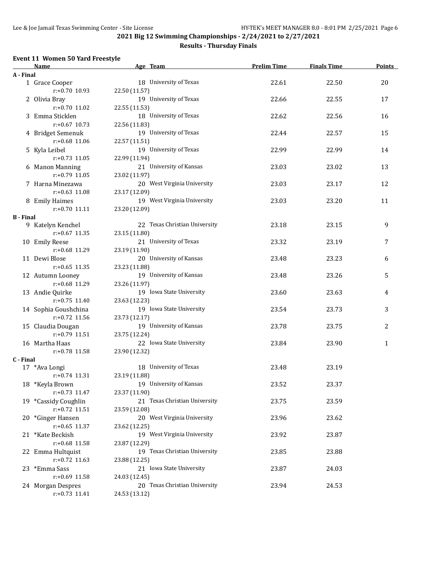## **Results - Thursday Finals**

#### **Event 11 Women 50 Yard Freestyle**

|                  | Name                                  | Age Team                      | <b>Prelim Time</b> | <b>Finals Time</b> | Points       |
|------------------|---------------------------------------|-------------------------------|--------------------|--------------------|--------------|
| A - Final        |                                       |                               |                    |                    |              |
|                  | 1 Grace Cooper                        | 18 University of Texas        | 22.61              | 22.50              | 20           |
|                  | r:+0.70 10.93                         | 22.50 (11.57)                 |                    |                    |              |
|                  | 2 Olivia Bray                         | 19 University of Texas        | 22.66              | 22.55              | 17           |
|                  | r:+0.70 11.02                         | 22.55 (11.53)                 |                    |                    |              |
|                  | 3 Emma Sticklen                       | 18 University of Texas        | 22.62              | 22.56              | 16           |
|                  | $r: +0.67$ 10.73                      | 22.56 (11.83)                 |                    |                    |              |
|                  | 4 Bridget Semenuk                     | 19 University of Texas        | 22.44              | 22.57              | 15           |
|                  | r:+0.68 11.06                         | 22.57 (11.51)                 |                    |                    |              |
|                  | 5 Kyla Leibel                         | 19 University of Texas        | 22.99              | 22.99              | 14           |
|                  | $r: +0.73$ 11.05                      | 22.99 (11.94)                 |                    |                    |              |
|                  | 6 Manon Manning                       | 21 University of Kansas       | 23.03              | 23.02              | 13           |
|                  | $r: +0.79$ 11.05                      | 23.02 (11.97)                 |                    |                    |              |
|                  | 7 Harna Minezawa                      | 20 West Virginia University   | 23.03              | 23.17              | 12           |
|                  | $r: +0.63$ 11.08                      | 23.17 (12.09)                 |                    |                    |              |
|                  | 8 Emily Haimes                        | 19 West Virginia University   | 23.03              | 23.20              | 11           |
|                  | $r: +0.70$ 11.11                      | 23.20 (12.09)                 |                    |                    |              |
| <b>B</b> - Final |                                       | 22 Texas Christian University |                    |                    |              |
|                  | 9 Katelyn Kenchel<br>$r: +0.67$ 11.35 | 23.15 (11.80)                 | 23.18              | 23.15              | 9            |
|                  |                                       | 21 University of Texas        | 23.32              | 23.19              | 7            |
|                  | 10 Emily Reese<br>r:+0.68 11.29       | 23.19 (11.90)                 |                    |                    |              |
|                  | 11 Dewi Blose                         | 20 University of Kansas       | 23.48              | 23.23              | 6            |
|                  | $r: +0.65$ 11.35                      | 23.23 (11.88)                 |                    |                    |              |
|                  | 12 Autumn Looney                      | 19 University of Kansas       | 23.48              | 23.26              | 5            |
|                  | $r: +0.68$ 11.29                      | 23.26 (11.97)                 |                    |                    |              |
|                  | 13 Andie Quirke                       | 19 Iowa State University      | 23.60              | 23.63              | 4            |
|                  | $r: +0.75$ 11.40                      | 23.63 (12.23)                 |                    |                    |              |
|                  | 14 Sophia Goushchina                  | 19 Iowa State University      | 23.54              | 23.73              | 3            |
|                  | $r: +0.72$ 11.56                      | 23.73 (12.17)                 |                    |                    |              |
|                  | 15 Claudia Dougan                     | 19 University of Kansas       | 23.78              | 23.75              | 2            |
|                  | $r: +0.79$ 11.51                      | 23.75 (12.24)                 |                    |                    |              |
|                  | 16 Martha Haas                        | 22 Iowa State University      | 23.84              | 23.90              | $\mathbf{1}$ |
|                  | r:+0.78 11.58                         | 23.90 (12.32)                 |                    |                    |              |
| C - Final        |                                       |                               |                    |                    |              |
|                  | 17 *Ava Longi                         | 18 University of Texas        | 23.48              | 23.19              |              |
|                  | $r: +0.74$ 11.31                      | 23.19 (11.88)                 |                    |                    |              |
|                  | 18 *Keyla Brown                       | 19 University of Kansas       | 23.52              | 23.37              |              |
|                  | $r: +0.73$ 11.47                      | 23.37 (11.90)                 |                    |                    |              |
|                  | 19 *Cassidy Coughlin                  | 21 Texas Christian University | 23.75              | 23.59              |              |
|                  | $r: +0.72$ 11.51                      | 23.59 (12.08)                 |                    |                    |              |
|                  | 20 *Ginger Hansen                     | 20 West Virginia University   | 23.96              | 23.62              |              |
|                  | $r: +0.65$ 11.37                      | 23.62 (12.25)                 |                    |                    |              |
|                  | 21 *Kate Beckish                      | 19 West Virginia University   | 23.92              | 23.87              |              |
|                  | $r: +0.68$ 11.58                      | 23.87 (12.29)                 |                    |                    |              |
|                  | 22 Emma Hultquist                     | 19 Texas Christian University | 23.85              | 23.88              |              |
|                  | $r: +0.72$ 11.63                      | 23.88 (12.25)                 |                    |                    |              |
|                  | 23 *Emma Sass                         | 21 Iowa State University      | 23.87              | 24.03              |              |
|                  | r:+0.69 11.58                         | 24.03 (12.45)                 |                    |                    |              |
|                  | 24 Morgan Despres                     | 20 Texas Christian University | 23.94              | 24.53              |              |
|                  | $r.+0.73$ 11.41                       | 24.53 (13.12)                 |                    |                    |              |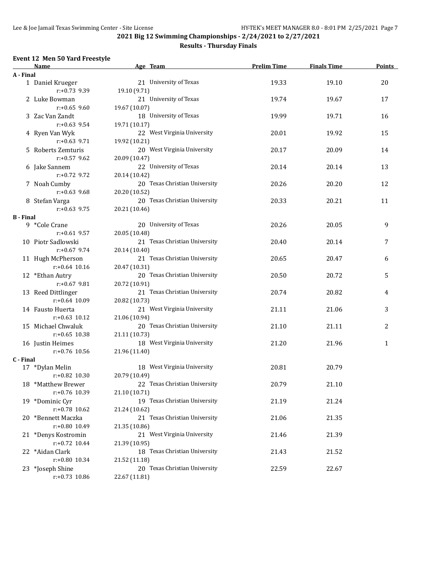#### **Results - Thursday Finals**

#### **Event 12 Men 50 Yard Freestyle**

|                  | Name                             | Age Team                                       | <b>Prelim Time</b> | <b>Finals Time</b> | <b>Points</b> |
|------------------|----------------------------------|------------------------------------------------|--------------------|--------------------|---------------|
| A - Final        |                                  |                                                |                    |                    |               |
|                  | 1 Daniel Krueger                 | 21 University of Texas                         | 19.33              | 19.10              | 20            |
|                  | $r: +0.73$ 9.39                  | 19.10 (9.71)                                   |                    |                    |               |
|                  | 2 Luke Bowman                    | 21 University of Texas                         | 19.74              | 19.67              | 17            |
|                  | $r: +0.65$ 9.60                  | 19.67 (10.07)                                  |                    |                    |               |
|                  | 3 Zac Van Zandt                  | 18 University of Texas                         | 19.99              | 19.71              | 16            |
|                  | $r: +0.63$ 9.54                  | 19.71 (10.17)                                  |                    |                    |               |
|                  | 4 Ryen Van Wyk                   | 22 West Virginia University                    | 20.01              | 19.92              | 15            |
|                  | $r: +0.63$ 9.71                  | 19.92 (10.21)                                  |                    |                    |               |
|                  | 5 Roberts Zemturis               | 20 West Virginia University                    | 20.17              | 20.09              | 14            |
|                  | $r: +0.57$ 9.62                  | 20.09 (10.47)                                  |                    |                    |               |
|                  | 6 Jake Sannem                    | 22 University of Texas                         | 20.14              | 20.14              | 13            |
|                  | $r: +0.72$ 9.72                  | 20.14 (10.42)                                  |                    |                    |               |
|                  | 7 Noah Cumby                     | 20 Texas Christian University                  | 20.26              | 20.20              | 12            |
|                  | $r: +0.63$ 9.68                  | 20.20 (10.52)                                  |                    |                    |               |
|                  | 8 Stefan Varga                   | 20 Texas Christian University                  | 20.33              | 20.21              | 11            |
|                  | $r: +0.63$ 9.75                  | 20.21 (10.46)                                  |                    |                    |               |
| <b>B</b> - Final |                                  |                                                |                    |                    |               |
|                  | 9 *Cole Crane                    | 20 University of Texas                         | 20.26              | 20.05              | 9             |
|                  | $r: +0.61$ 9.57                  | 20.05 (10.48)                                  |                    |                    |               |
|                  | 10 Piotr Sadlowski               | 21 Texas Christian University                  | 20.40              | 20.14              | 7             |
|                  | $r: +0.67$ 9.74                  | 20.14 (10.40)                                  |                    |                    |               |
|                  | 11 Hugh McPherson                | 21 Texas Christian University                  | 20.65              | 20.47              | 6             |
|                  | $r: +0.64$ 10.16                 | 20.47 (10.31)                                  |                    |                    |               |
|                  | 12 *Ethan Autry                  | 20 Texas Christian University                  | 20.50              | 20.72              | 5             |
|                  | $r: +0.67$ 9.81                  | 20.72 (10.91)                                  |                    |                    |               |
|                  | 13 Reed Dittlinger               | 21 Texas Christian University                  | 20.74              | 20.82              | 4             |
|                  | $r: +0.64$ 10.09                 | 20.82 (10.73)                                  |                    |                    |               |
|                  | 14 Fausto Huerta                 | 21 West Virginia University                    | 21.11              | 21.06              | 3             |
|                  | $r: +0.63$ 10.12                 | 21.06 (10.94)                                  |                    |                    |               |
|                  | 15 Michael Chwaluk               | 20 Texas Christian University                  | 21.10              | 21.11              | 2             |
|                  | $r: +0.65$ 10.38                 | 21.11 (10.73)                                  |                    |                    |               |
|                  | 16 Justin Heimes                 | 18 West Virginia University                    | 21.20              | 21.96              | $\mathbf{1}$  |
|                  | $r: +0.76$ 10.56                 | 21.96 (11.40)                                  |                    |                    |               |
| C - Final        |                                  |                                                |                    |                    |               |
|                  | 17 *Dylan Melin                  | 18 West Virginia University                    | 20.81              | 20.79              |               |
|                  | $r: +0.82$ 10.30                 | 20.79 (10.49)                                  |                    |                    |               |
|                  | 18 *Matthew Brewer               | 22 Texas Christian University                  | 20.79              | 21.10              |               |
|                  | r:+0.76 10.39                    | 21.10 (10.71)                                  |                    |                    |               |
|                  | 19 *Dominic Cyr                  | 19 Texas Christian University                  | 21.19              | 21.24              |               |
|                  | r:+0.78 10.62                    | 21.24 (10.62)                                  |                    |                    |               |
|                  | 20 *Bennett Maczka               | 21 Texas Christian University                  | 21.06              | 21.35              |               |
|                  | r:+0.80 10.49                    | 21.35 (10.86)                                  |                    |                    |               |
|                  | 21 *Denys Kostromin              | 21 West Virginia University                    | 21.46              | 21.39              |               |
|                  | $r: +0.72$ 10.44                 |                                                |                    |                    |               |
|                  |                                  | 21.39 (10.95)<br>18 Texas Christian University |                    |                    |               |
|                  | 22 *Aidan Clark<br>r:+0.80 10.34 | 21.52 (11.18)                                  | 21.43              | 21.52              |               |
|                  |                                  | 20 Texas Christian University                  |                    |                    |               |
|                  | 23 *Joseph Shine                 |                                                | 22.59              | 22.67              |               |
|                  | $r: +0.73$ 10.86                 | 22.67 (11.81)                                  |                    |                    |               |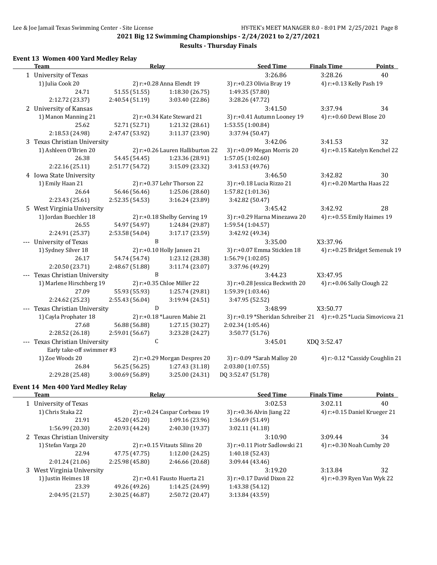#### **Results - Thursday Finals**

#### **Event 13 Women 400 Yard Medley Relay**

| <b>Team</b>                    | Relay           |                                  | <b>Seed Time</b>                                                  | <b>Finals Time</b>              | Points |
|--------------------------------|-----------------|----------------------------------|-------------------------------------------------------------------|---------------------------------|--------|
| 1 University of Texas          |                 |                                  | 3:26.86                                                           | 3:28.26                         | 40     |
| 1) Julia Cook 20               |                 | 2) r:+0.28 Anna Elendt 19        | 3) r:+0.23 Olivia Bray 19                                         | 4) r:+0.13 Kelly Pash 19        |        |
| 24.71                          | 51.55 (51.55)   | 1:18.30(26.75)                   | 1:49.35 (57.80)                                                   |                                 |        |
| 2:12.72 (23.37)                | 2:40.54 (51.19) | 3:03.40 (22.86)                  | 3:28.26 (47.72)                                                   |                                 |        |
| 2 University of Kansas         |                 |                                  | 3:41.50                                                           | 3:37.94                         | 34     |
| 1) Manon Manning 21            |                 | 2) r:+0.34 Kate Steward 21       | 3) r:+0.41 Autumn Looney 19                                       | 4) r:+0.60 Dewi Blose 20        |        |
| 25.62                          | 52.71 (52.71)   | 1:21.32 (28.61)                  | 1:53.55 (1:00.84)                                                 |                                 |        |
| 2:18.53 (24.98)                | 2:47.47 (53.92) | 3:11.37 (23.90)                  | 3:37.94 (50.47)                                                   |                                 |        |
| 3 Texas Christian University   |                 |                                  | 3:42.06                                                           | 3:41.53                         | 32     |
| 1) Ashleen O'Brien 20          |                 | 2) r:+0.26 Lauren Halliburton 22 | 3) r:+0.09 Megan Morris 20                                        | 4) r:+0.15 Katelyn Kenchel 22   |        |
| 26.38                          | 54.45 (54.45)   | 1:23.36 (28.91)                  | 1:57.05 (1:02.60)                                                 |                                 |        |
| 2:22.16 (25.11)                | 2:51.77 (54.72) | 3:15.09 (23.32)                  | 3:41.53 (49.76)                                                   |                                 |        |
| 4 Iowa State University        |                 |                                  | 3:46.50                                                           | 3:42.82                         | 30     |
| 1) Emily Haan 21               |                 | 2) r:+0.37 Lehr Thorson 22       | 3) r:+0.18 Lucia Rizzo 21                                         | 4) r:+0.20 Martha Haas 22       |        |
| 26.64                          | 56.46 (56.46)   | 1:25.06 (28.60)                  | 1:57.82 (1:01.36)                                                 |                                 |        |
| 2:23.43 (25.61)                | 2:52.35 (54.53) | 3:16.24 (23.89)                  | 3:42.82 (50.47)                                                   |                                 |        |
| 5 West Virginia University     |                 |                                  | 3:45.42                                                           | 3:42.92                         | 28     |
| 1) Jordan Buechler 18          |                 | 2) r:+0.18 Shelby Gerving 19     | 3) r:+0.29 Harna Minezawa 20                                      | 4) r:+0.55 Emily Haimes 19      |        |
| 26.55                          | 54.97 (54.97)   | 1:24.84 (29.87)                  | 1:59.54 (1:04.57)                                                 |                                 |        |
| 2:24.91 (25.37)                | 2:53.58 (54.04) | 3:17.17 (23.59)                  | 3:42.92 (49.34)                                                   |                                 |        |
| --- University of Texas        | B               |                                  | 3:35.00                                                           | X3:37.96                        |        |
| 1) Sydney Silver 18            |                 | 2) r:+0.10 Holly Jansen 21       | 3) r:+0.07 Emma Sticklen 18                                       | 4) r:+0.25 Bridget Semenuk 19   |        |
| 26.17                          | 54.74 (54.74)   | 1:23.12 (28.38)                  | 1:56.79 (1:02.05)                                                 |                                 |        |
| 2:20.50 (23.71)                | 2:48.67 (51.88) | 3:11.74(23.07)                   | 3:37.96 (49.29)                                                   |                                 |        |
| --- Texas Christian University | $\, {\bf B}$    |                                  | 3:44.23                                                           | X3:47.95                        |        |
| 1) Marlene Hirschberg 19       |                 | 2) r:+0.35 Chloe Miller 22       | 3) r:+0.28 Jessica Beckwith 20                                    | 4) $r: +0.06$ Sally Clough 22   |        |
| 27.09                          | 55.93 (55.93)   | 1:25.74 (29.81)                  | 1:59.39 (1:03.46)                                                 |                                 |        |
| 2:24.62 (25.23)                | 2:55.43 (56.04) | 3:19.94 (24.51)                  | 3:47.95 (52.52)                                                   |                                 |        |
| --- Texas Christian University | D               |                                  | 3:48.99                                                           | X3:50.77                        |        |
| 1) Cayla Prophater 18          |                 | 2) r:+0.18 *Lauren Mabie 21      | 3) r:+0.19 *Sheridan Schreiber 21 4) r:+0.25 *Lucia Simovicova 21 |                                 |        |
| 27.68                          | 56.88 (56.88)   | 1:27.15 (30.27)                  | 2:02.34 (1:05.46)                                                 |                                 |        |
| 2:28.52 (26.18)                | 2:59.01 (56.67) | 3:23.28 (24.27)                  | 3:50.77 (51.76)                                                   |                                 |        |
| --- Texas Christian University | $\mathsf C$     |                                  | 3:45.01                                                           | XDQ 3:52.47                     |        |
| Early take-off swimmer #3      |                 |                                  |                                                                   |                                 |        |
| 1) Zoe Woods 20                |                 | 2) r:+0.29 Morgan Despres 20     | 3) r:-0.09 *Sarah Malloy 20                                       | 4) r:-0.12 *Cassidy Coughlin 21 |        |
| 26.84                          | 56.25 (56.25)   | 1:27.43 (31.18)                  | 2:03.80 (1:07.55)                                                 |                                 |        |
| 2:29.28 (25.48)                | 3:00.69 (56.89) | 3:25.00 (24.31)                  | DQ 3:52.47 (51.78)                                                |                                 |        |
|                                |                 |                                  |                                                                   |                                 |        |

# **Event 14 Men 400 Yard Medley Relay**

 $\overline{\phantom{a}}$ 

| Team                         | Relay                          |                               | <b>Seed Time</b>              | <b>Finals Time</b>       | <b>Points</b>                   |
|------------------------------|--------------------------------|-------------------------------|-------------------------------|--------------------------|---------------------------------|
| 1 University of Texas        |                                |                               | 3:02.53                       | 3:02.11                  | 40                              |
| 1) Chris Staka 22            |                                | 2) $r+0.24$ Caspar Corbeau 19 | $3)$ r:+0.36 Alvin Jiang 22   |                          | 4) $r: +0.15$ Daniel Krueger 21 |
| 21.91                        | 45.20 (45.20)                  | 1:09.16(23.96)                | 1:36.69 (51.49)               |                          |                                 |
| 1:56.99(20.30)               | 2:20.93 (44.24)                | 2:40.30 (19.37)               | 3:02.11(41.18)                |                          |                                 |
| 2 Texas Christian University |                                |                               | 3:10.90                       | 3:09.44                  | 34                              |
| 1) Stefan Varga 20           | $2)$ r:+0.15 Vitauts Silins 20 |                               | 3) r:+0.11 Piotr Sadlowski 21 | 4) r:+0.30 Noah Cumby 20 |                                 |
| 22.94                        | 47.75 (47.75)                  | 1:12.00 (24.25)               | 1:40.18 (52.43)               |                          |                                 |
| 2:01.24(21.06)               | 2:25.98 (45.80)                | 2:46.66 (20.68)               | 3:09.44(43.46)                |                          |                                 |
| 3 West Virginia University   |                                |                               | 3:19.20                       | 3:13.84                  | 32                              |
| 1) Justin Heimes 18          |                                | 2) r:+0.41 Fausto Huerta 21   | 3) r:+0.17 David Dixon 22     |                          | 4) r:+0.39 Ryen Van Wyk 22      |
| 23.39                        | 49.26 (49.26)                  | 1:14.25 (24.99)               | 1:43.38 (54.12)               |                          |                                 |
| 2:04.95 (21.57)              | 2:30.25 (46.87)                | 2:50.72 (20.47)               | 3:13.84 (43.59)               |                          |                                 |
|                              |                                |                               |                               |                          |                                 |